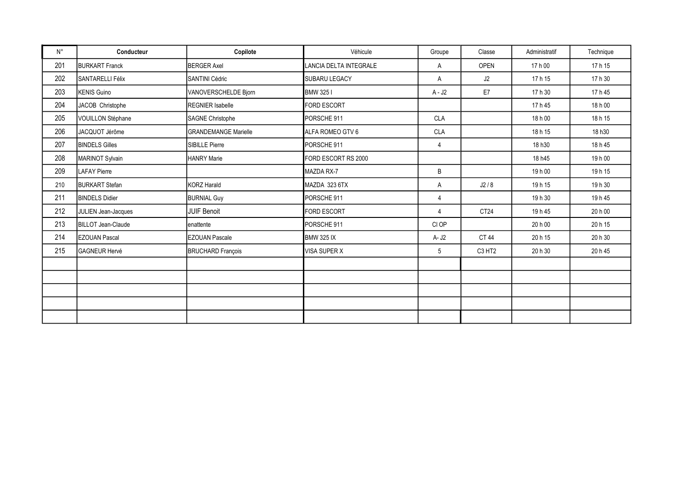| $N^{\circ}$ | Conducteur                | Copilote                    | Véhicule               | Groupe         | Classe                         | Administratif | Technique |
|-------------|---------------------------|-----------------------------|------------------------|----------------|--------------------------------|---------------|-----------|
| 201         | <b>BURKART Franck</b>     | <b>BERGER Axel</b>          | LANCIA DELTA INTEGRALE | Α              | <b>OPEN</b>                    | 17 h 00       | 17 h 15   |
| 202         | <b>SANTARELLI Félix</b>   | <b>SANTINI Cédric</b>       | SUBARU LEGACY          | Α              | J2                             | 17 h 15       | 17 h 30   |
| 203         | <b>KENIS Guino</b>        | VANOVERSCHELDE Bjorn        | BMW 3251               | A - J2         | E7                             | 17 h 30       | 17 h 45   |
| 204         | JACOB Christophe          | <b>REGNIER Isabelle</b>     | <b>FORD ESCORT</b>     |                |                                | 17h45         | 18 h 00   |
| 205         | VOUILLON Stéphane         | <b>SAGNE Christophe</b>     | PORSCHE 911            | <b>CLA</b>     |                                | 18 h 00       | 18 h 15   |
| 206         | JACQUOT Jérôme            | <b>GRANDEMANGE Marielle</b> | ALFA ROMEO GTV 6       | <b>CLA</b>     |                                | 18 h 15       | 18 h30    |
| 207         | <b>BINDELS Gilles</b>     | <b>SIBILLE Pierre</b>       | PORSCHE 911            | 4              |                                | 18 h30        | 18 h 45   |
| 208         | MARINOT Sylvain           | <b>HANRY Marie</b>          | FORD ESCORT RS 2000    |                |                                | 18 h45        | 19 h 00   |
| 209         | <b>LAFAY Pierre</b>       |                             | <b>MAZDA RX-7</b>      | B              |                                | 19 h 00       | 19h15     |
| 210         | <b>BURKART</b> Stefan     | <b>KORZ Harald</b>          | MAZDA 323 6TX          | Α              | J2/8                           | 19h 15        | 19 h 30   |
| 211         | <b>BINDELS Didier</b>     | <b>BURNIAL Guy</b>          | PORSCHE 911            | $\overline{4}$ |                                | 19 h 30       | 19h45     |
| 212         | JULIEN Jean-Jacques       | <b>JUIF Benoit</b>          | FORD ESCORT            | 4              | CT <sub>24</sub>               | 19 h 45       | 20 h 00   |
| 213         | <b>BILLOT Jean-Claude</b> | enattente                   | PORSCHE 911            | CI OP          |                                | 20 h 00       | 20 h 15   |
| 214         | <b>EZOUAN Pascal</b>      | <b>EZOUAN Pascale</b>       | <b>BMW 325 IX</b>      | A- J2          | CT 44                          | 20 h 15       | 20 h 30   |
| 215         | <b>GAGNEUR Hervé</b>      | <b>BRUCHARD François</b>    | <b>VISA SUPER X</b>    | 5              | C <sub>3</sub> H <sub>T2</sub> | 20 h 30       | 20 h 45   |
|             |                           |                             |                        |                |                                |               |           |
|             |                           |                             |                        |                |                                |               |           |
|             |                           |                             |                        |                |                                |               |           |
|             |                           |                             |                        |                |                                |               |           |
|             |                           |                             |                        |                |                                |               |           |